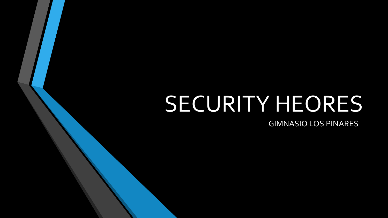## SECURITY HEORES

GIMNASIO LOS PINARES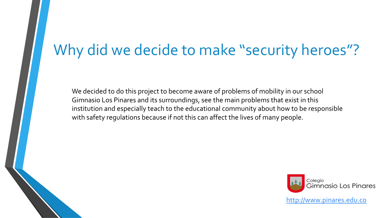#### Why did we decide to make "security heroes"?

We decided to do this project to become aware of problems of mobility in our school Gimnasio Los Pinares and its surroundings, see the main problems that exist in this institution and especially teach to the educational community about how to be responsible with safety regulations because if not this can affect the lives of many people.



http://www.pinares.edu.co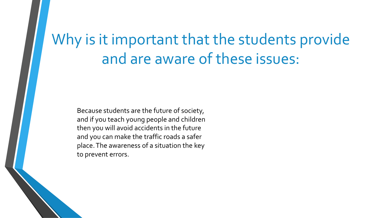### Why is it important that the students provide and are aware of these issues:

Because students are the future of society, and if you teach young people and children then you will avoid accidents in the future and you can make the traffic roads a safer place. The awareness of a situation the key to prevent errors.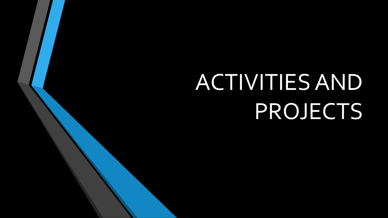# ACTIVITIES AND PROJECTS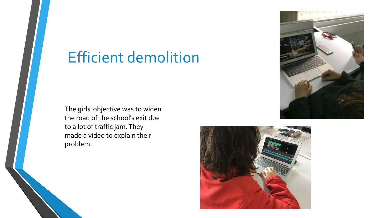#### Efficient demolition

The girls' objective was to widen the road of the school's exit due to a lot of traffic jam. They made a video to explain their problem.



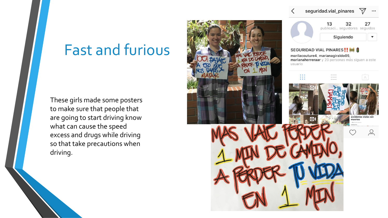#### Fast and furious

These girls made some posters to make sure that people that are going to start driving know what can cause the speed excess and drugs while driving so that take precautions when driving.

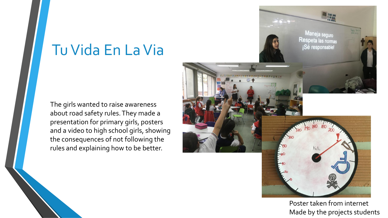#### Tu Vida En La Via

The girls wanted to raise awareness about road safety rules. They made a presentation for primary girls, posters and a video to high school girls, showing the consequences of not following the rules and explaining how to be better.



Poster taken from internet Made by the projects students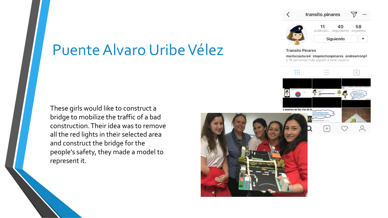#### Puente Alvaro Uribe Vélez

These girls would like to construct a bridge to mobilize the traffic of a bad construction. Their idea was to remove all the red lights in their selected area and construct the bridge for the people's safety, they made a model to represent it.



transito.pinares

**Transito Pinares** 

11

marilacouture4, stopmotionpinares, andreamonp1



58

 $\blacktriangledown$ 

40 publicaci... seguidores seguidos

Siguiendo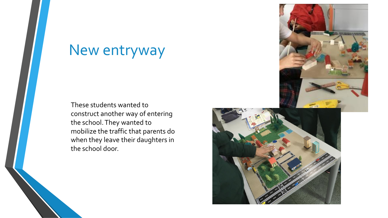#### New entryway

These students wanted to construct another way of entering the school. They wanted to mobilize the traffic that parents do when they leave their daughters in the school door.



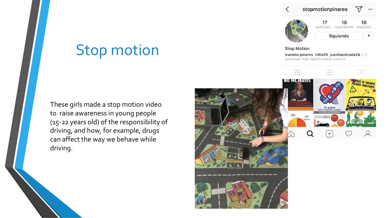17



publicaci... seguidores seguidos

18

Siguiendo

18

#### **Stop Motion**

transito.pinares, ivilla99, juanitaestrada24 y 11 personas más siguen a este usuario



Stop motion

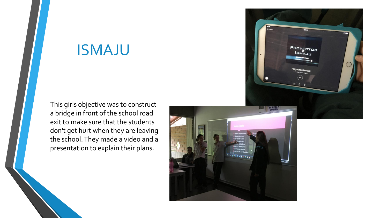#### ISMAJU

This girls objective was to construct a bridge in front of the school road exit to make sure that the students don't get hurt when they are leaving the school. They made a video and a presentation to explain their plans.